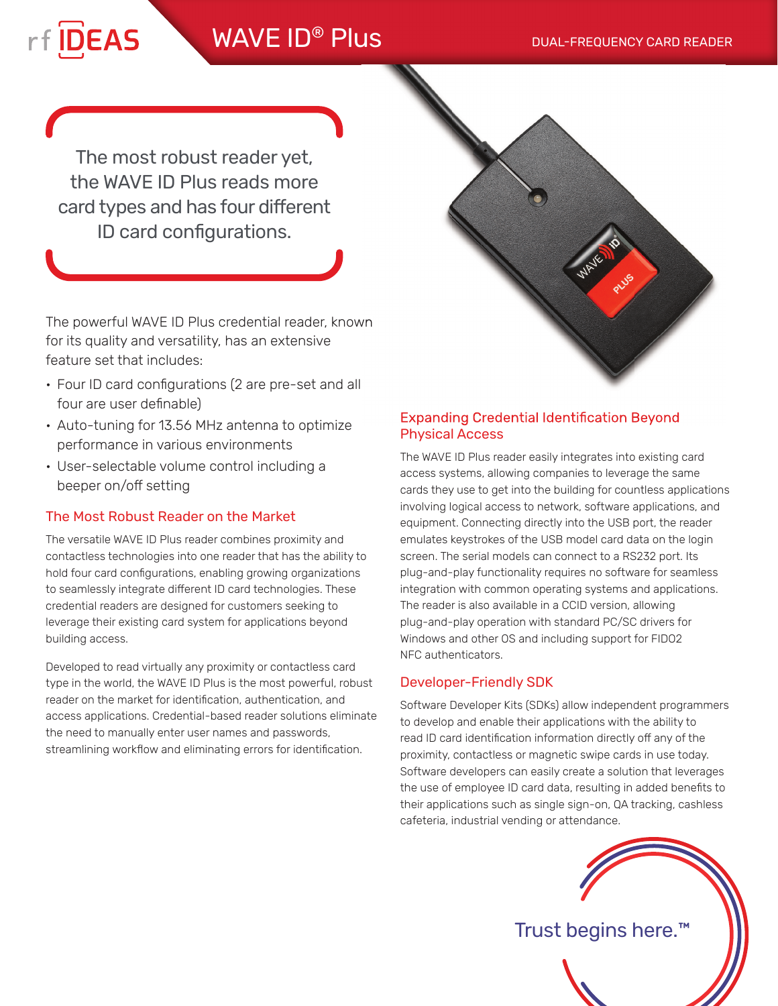# WAVE ID<sup>®</sup> Plus DUAL-FREQUENCY CARD READER

The most robust reader yet, the WAVE ID Plus reads more card types and has four different ID card configurations.

rf DEAS

The powerful WAVE ID Plus credential reader, known for its quality and versatility, has an extensive feature set that includes:

- Four ID card configurations (2 are pre-set and all four are user definable)
- Auto-tuning for 13.56 MHz antenna to optimize performance in various environments
- User-selectable volume control including a beeper on/off setting

## The Most Robust Reader on the Market

The versatile WAVE ID Plus reader combines proximity and contactless technologies into one reader that has the ability to hold four card configurations, enabling growing organizations to seamlessly integrate different ID card technologies. These credential readers are designed for customers seeking to leverage their existing card system for applications beyond building access.

Developed to read virtually any proximity or contactless card type in the world, the WAVE ID Plus is the most powerful, robust reader on the market for identification, authentication, and access applications. Credential-based reader solutions eliminate the need to manually enter user names and passwords, streamlining workflow and eliminating errors for identification.



## **Expanding Credential Identification Beyond** Physical Access

The WAVE ID Plus reader easily integrates into existing card access systems, allowing companies to leverage the same cards they use to get into the building for countless applications involving logical access to network, software applications, and equipment. Connecting directly into the USB port, the reader emulates keystrokes of the USB model card data on the login screen. The serial models can connect to a RS232 port. Its plug-and-play functionality requires no software for seamless integration with common operating systems and applications. The reader is also available in a CCID version, allowing plug-and-play operation with standard PC/SC drivers for Windows and other OS and including support for FIDO2 NFC authenticators.

## Developer-Friendly SDK

Software Developer Kits (SDKs) allow independent programmers to develop and enable their applications with the ability to read ID card identification information directly off any of the proximity, contactless or magnetic swipe cards in use today. Software developers can easily create a solution that leverages the use of employee ID card data, resulting in added benefits to their applications such as single sign-on, QA tracking, cashless cafeteria, industrial vending or attendance.



Trust begins here.™